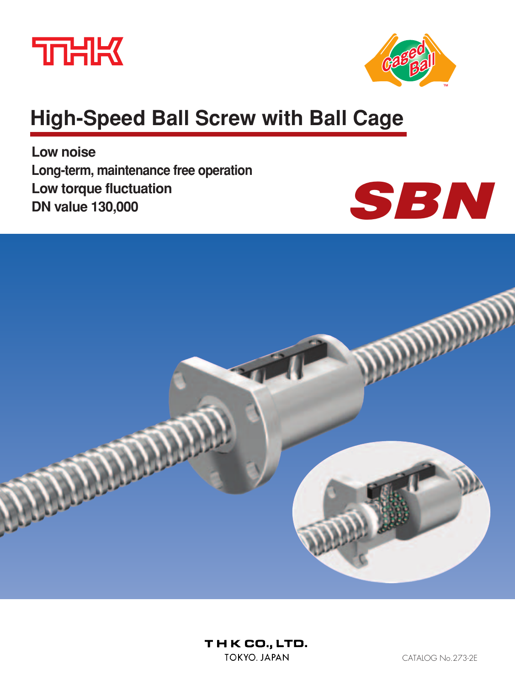



# **High-Speed Ball Screw with Ball Cage**

**Low noise Long-term, maintenance free operation Low torque fluctuation DN value 130,000**



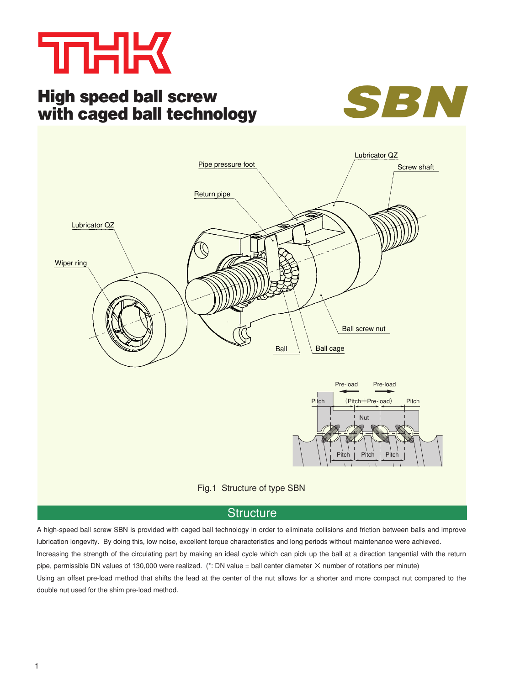

# **High speed ball screw with caged ball technology**





### **Structure**

A high-speed ball screw SBN is provided with caged ball technology in order to eliminate collisions and friction between balls and improve lubrication longevity. By doing this, low noise, excellent torque characteristics and long periods without maintenance were achieved. Increasing the strength of the circulating part by making an ideal cycle which can pick up the ball at a direction tangential with the return pipe, permissible DN values of 130,000 were realized.  $(*: DN$  value = ball center diameter  $\times$  number of rotations per minute) Using an offset pre-load method that shifts the lead at the center of the nut allows for a shorter and more compact nut compared to the double nut used for the shim pre-load method.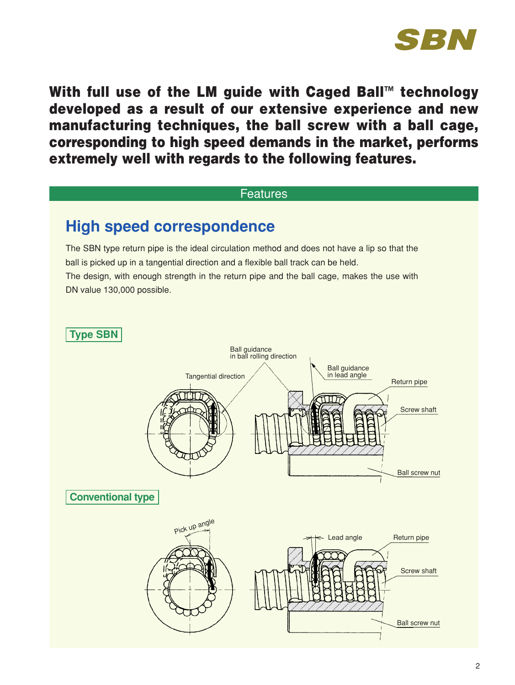

**With full use of the LM guide with Caged Ball™ technology developed as a result of our extensive experience and new manufacturing techniques, the ball screw with a ball cage, corresponding to high speed demands in the market, performs extremely well with regards to the following features.**

### Features

# **High speed correspondence**

The SBN type return pipe is the ideal circulation method and does not have a lip so that the ball is picked up in a tangential direction and a flexible ball track can be held. The design, with enough strength in the return pipe and the ball cage, makes the use with DN value 130,000 possible.

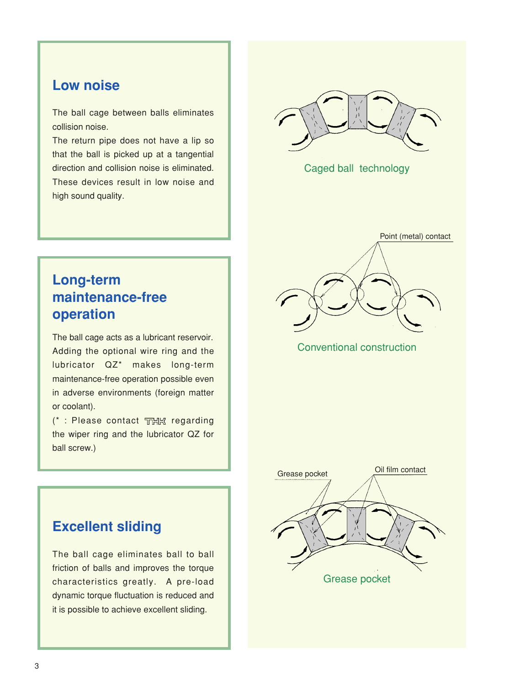### **Low noise**

The ball cage between balls eliminates collision noise.

The return pipe does not have a lip so that the ball is picked up at a tangential direction and collision noise is eliminated. These devices result in low noise and high sound quality.



Caged ball technology



Conventional construction

# **Long-term maintenance-free operation**

The ball cage acts as a lubricant reservoir. Adding the optional wire ring and the lubricator QZ\* makes long-term maintenance-free operation possible even in adverse environments (foreign matter or coolant).

 $(*:$  Please contact THK regarding the wiper ring and the lubricator QZ for ball screw.)



# **Excellent sliding**

The ball cage eliminates ball to ball friction of balls and improves the torque characteristics greatly. A pre-load dynamic torque fluctuation is reduced and it is possible to achieve excellent sliding.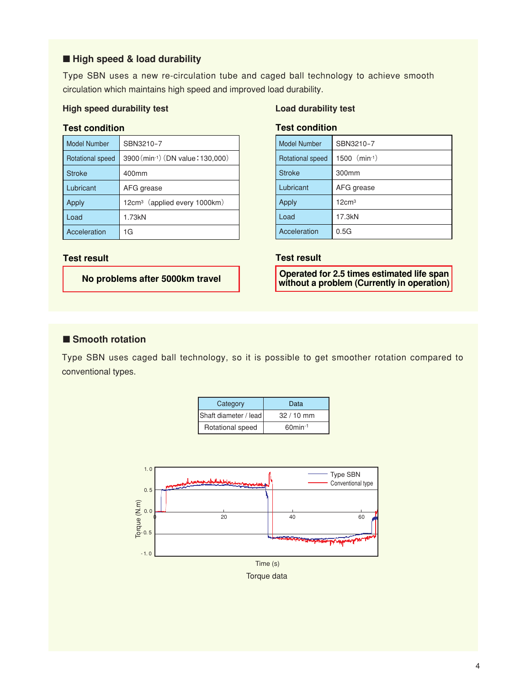### ■ **High speed & load durability**

Type SBN uses a new re-circulation tube and caged ball technology to achieve smooth circulation which maintains high speed and improved load durability.

### **High speed durability test Load durability test**

### **Test condition**

| <b>Model Number</b> | SBN3210-7                                |
|---------------------|------------------------------------------|
| Rotational speed    | 3900 (min-1) (DN value: 130,000)         |
| <b>Stroke</b>       | 400mm                                    |
| Lubricant           | AFG grease                               |
| Apply               | 12cm <sup>3</sup> (applied every 1000km) |
| Load                | 1.73kN                                   |
| Acceleration        | 1G                                       |

### **Test condition**

| <b>Model Number</b> | SBN3210-7         |
|---------------------|-------------------|
| Rotational speed    | $1500$ (min-1)    |
| <b>Stroke</b>       | 300mm             |
| Lubricant           | AFG grease        |
| Apply               | 12cm <sup>3</sup> |
| Load                | 17.3kN            |
| Acceleration        | 0.5G              |

### **Test result**

**Operated for 2.5 times estimated life span without a problem (Currently in operation)**

### **Test result**

**No problems after 5000km travel**

### ■ **Smooth rotation**

Type SBN uses caged ball technology, so it is possible to get smoother rotation compared to conventional types.

| Category              | Data                   |
|-----------------------|------------------------|
| Shaft diameter / lead | $32/10$ mm             |
| Rotational speed      | $60$ min <sup>-1</sup> |

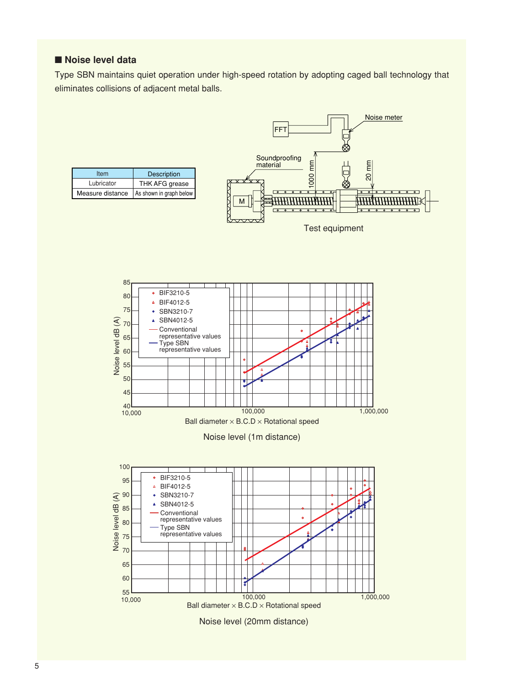### ■ **Noise level data**

Type SBN maintains quiet operation under high-speed rotation by adopting caged ball technology that eliminates collisions of adjacent metal balls.

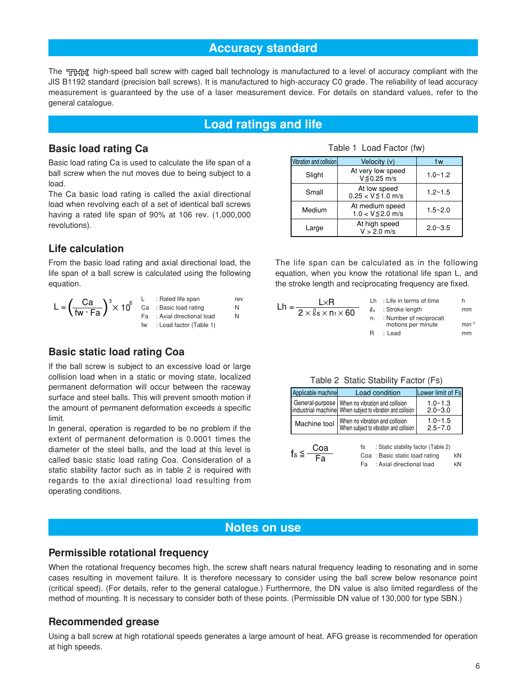### **Accuracy standard**

The THK high-speed ball screw with caged ball technology is manufactured to a level of accuracy compliant with the JIS B1192 standard (precision ball screws). It is manufactured to high-accuracy C0 grade. The reliability of lead accuracy measurement is guaranteed by the use of a laser measurement device. For details on standard values, refer to the general catalogue.

### **Load ratings and life**

### **Basic load rating Ca**

Basic load rating Ca is used to calculate the life span of a ball screw when the nut moves due to being subject to a load.

The Ca basic load rating is called the axial directional load when revolving each of a set of identical ball screws having a rated life span of 90% at 106 rev. (1,000,000 revolutions).

### **Life calculation**

From the basic load rating and axial directional load, the life span of a ball screw is calculated using the following equation.

| $\mathbf{r} = \left(\frac{Ca}{fw \cdot Fa}\right)^3 \times 10^6$ Ca : Basic load rating | Fa : Axial directional load | rev | L×R<br>$=\frac{}{2\times \ell_s \times n}$ |
|-----------------------------------------------------------------------------------------|-----------------------------|-----|--------------------------------------------|
|                                                                                         | fw : Load factor (Table 1)  |     |                                            |

### **Basic static load rating Coa**

If the ball screw is subject to an excessive load or large collision load when in a static or moving state, localized permanent deformation will occur between the raceway surface and steel balls. This will prevent smooth motion if the amount of permanent deformation exceeds a specific limit.

In general, operation is regarded to be no problem if the extent of permanent deformation is 0.0001 times the diameter of the steel balls, and the load at this level is called basic static load rating Coa. Consideration of a static stability factor such as in table 2 is required with regards to the axial directional load resulting from operating conditions.

|           | Table 1 Load Factor (fw) |  |
|-----------|--------------------------|--|
| collicion | Valocity (v)             |  |

| Vibration and collision | Velocity (v)                              | f w         |
|-------------------------|-------------------------------------------|-------------|
| Slight                  | At very low speed<br>$V \le 0.25$ m/s     | $1.0 - 1.2$ |
| Small                   | At low speed<br>$0.25 < V \le 1.0$ m/s    | $1.2 - 1.5$ |
| Medium                  | At medium speed<br>$1.0 < V \leq 2.0$ m/s | $1.5 - 2.0$ |
| Large                   | At high speed<br>$V > 2.0$ m/s            | $2.0 - 3.5$ |

The life span can be calculated as in the following equation, when you know the rotational life span L, and the stroke length and reciprocating frequency are fixed.

| L×R.                                              |                | $Lh$ : Life in terms of time                  | h          |
|---------------------------------------------------|----------------|-----------------------------------------------|------------|
| $\overline{2} \times \ell_s \times n_1 \times 60$ |                | $\ell_{\rm s}$ : Stroke length                | mm         |
|                                                   | n <sub>1</sub> | : Number of reciprocati<br>motions per minute | $min^{-1}$ |
|                                                   | н              | : Lead                                        | mm         |

|  |  | Table 2 Static Stability Factor (Fs) |  |  |  |
|--|--|--------------------------------------|--|--|--|
|--|--|--------------------------------------|--|--|--|

| Applicable machine | Load condition                                                                                                  | Lower limit of Fs          |
|--------------------|-----------------------------------------------------------------------------------------------------------------|----------------------------|
|                    | General-purpose   When no vibration and collision<br>industrial machine When subject to vibration and collision | $1.0 - 1.3$<br>$2.0 - 3.0$ |
| Machine tool       | When no vibration and collision<br>When subject to vibration and collision                                      | $1.0 - 1.5$<br>$2.5 - 7.0$ |
|                    |                                                                                                                 |                            |

|              | Coa | : Static stability factor (Table 2) |    |
|--------------|-----|-------------------------------------|----|
| $f_s \leq -$ | Fa  | Coa: Basic static load rating       | kN |
|              |     | Fa : Axial directional load         | kN |

### **Notes on use**

### **Permissible rotational frequency**

When the rotational frequency becomes high, the screw shaft nears natural frequency leading to resonating and in some cases resulting in movement failure. It is therefore necessary to consider using the ball screw below resonance point (critical speed). (For details, refer to the general catalogue.) Furthermore, the DN value is also limited regardless of the method of mounting. It is necessary to consider both of these points. (Permissible DN value of 130,000 for type SBN.)

### **Recommended grease**

Using a ball screw at high rotational speeds generates a large amount of heat. AFG grease is recommended for operation at high speeds.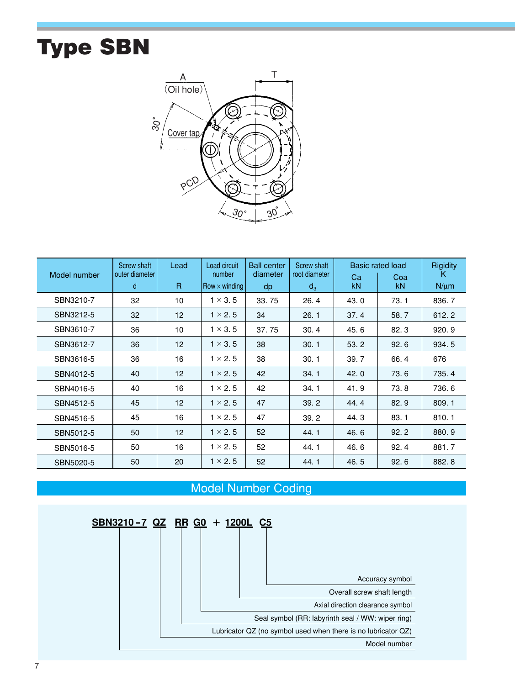# **Type SBN**



| Model number | Screw shaft<br>outer diameter | Lead         | Load circuit<br>number | <b>Ball center</b><br>diameter | Screw shaft<br>root diameter | Ca   | <b>Basic rated load</b><br>Coa | Rigidity<br>Κ |
|--------------|-------------------------------|--------------|------------------------|--------------------------------|------------------------------|------|--------------------------------|---------------|
|              | d                             | $\mathsf{R}$ | $Row \times winding$   | dp                             | $d_3$                        | kN.  | kN                             | $N/\mu m$     |
| SBN3210-7    | 32                            | 10           | $1 \times 3.5$         | 33.75                          | 26.4                         | 43.0 | 73.1                           | 836.7         |
| SBN3212-5    | 32                            | 12           | $1 \times 2.5$         | 34                             | 26.1                         | 37.4 | 58.7                           | 612.2         |
| SBN3610-7    | 36                            | 10           | $1 \times 3.5$         | 37.75                          | 30.4                         | 45.6 | 82.3                           | 920.9         |
| SBN3612-7    | 36                            | 12           | $1 \times 3.5$         | 38                             | 30.1                         | 53.2 | 92.6                           | 934.5         |
| SBN3616-5    | 36                            | 16           | $1 \times 2.5$         | 38                             | 30.1                         | 39.7 | 66.4                           | 676           |
| SBN4012-5    | 40                            | 12           | $1 \times 2.5$         | 42                             | 34.1                         | 42.0 | 73.6                           | 735.4         |
| SBN4016-5    | 40                            | 16           | $1 \times 2.5$         | 42                             | 34.1                         | 41.9 | 73.8                           | 736.6         |
| SBN4512-5    | 45                            | 12           | $1 \times 2.5$         | 47                             | 39.2                         | 44.4 | 82.9                           | 809.1         |
| SBN4516-5    | 45                            | 16           | $1 \times 2.5$         | 47                             | 39.2                         | 44.3 | 83.1                           | 810.1         |
| SBN5012-5    | 50                            | 12           | $1 \times 2.5$         | 52                             | 44.1                         | 46.6 | 92.2                           | 880.9         |
| SBN5016-5    | 50                            | 16           | $1 \times 2.5$         | 52                             | 44.1                         | 46.6 | 92.4                           | 881.7         |
| SBN5020-5    | 50                            | 20           | $1 \times 2.5$         | 52                             | 44.1                         | 46.5 | 92.6                           | 882.8         |

# Model Number Coding

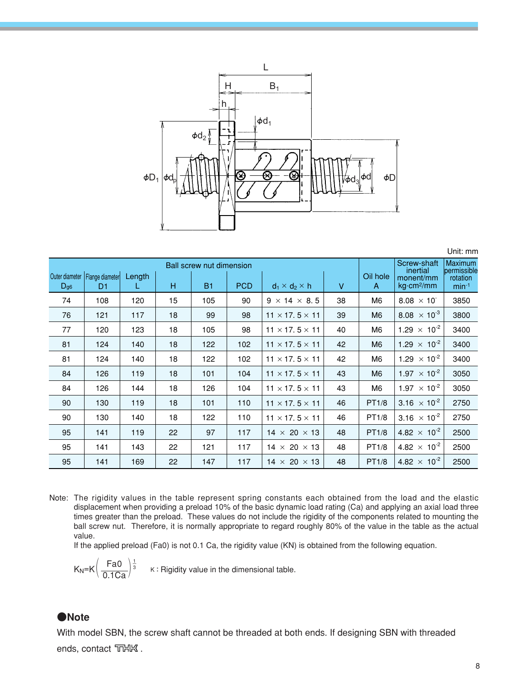

|                |                                   |        |    |           |            |                            |        |                |                                | Unit: mm                      |
|----------------|-----------------------------------|--------|----|-----------|------------|----------------------------|--------|----------------|--------------------------------|-------------------------------|
| Outer diameter | Ball screw nut dimension          |        |    |           |            |                            |        |                | Screw-shaft<br>inertial        | <b>Maximum</b><br>permissible |
| $D_{g6}$       | Flange diameter<br>D <sub>1</sub> | Length | н  | <b>B1</b> | <b>PCD</b> | $d_1 \times d_2 \times h$  | $\vee$ | Oil hole<br>A  | monent/mm<br>$kg\cdot cm^2/mm$ | rotation<br>$min-1$           |
| 74             | 108                               | 120    | 15 | 105       | 90         | $9 \times 14 \times 8.5$   | 38     | M <sub>6</sub> | $8.08 \times 10^{-7}$          | 3850                          |
| 76             | 121                               | 117    | 18 | 99        | 98         | $11 \times 17.5 \times 11$ | 39     | M <sub>6</sub> | 8.08 $\times$ 10 <sup>-3</sup> | 3800                          |
| 77             | 120                               | 123    | 18 | 105       | 98         | $11 \times 17.5 \times 11$ | 40     | M6             | 1.29 $\times$ 10 <sup>-2</sup> | 3400                          |
| 81             | 124                               | 140    | 18 | 122       | 102        | $11 \times 17.5 \times 11$ | 42     | M <sub>6</sub> | $1.29 \times 10^{-2}$          | 3400                          |
| 81             | 124                               | 140    | 18 | 122       | 102        | $11 \times 17.5 \times 11$ | 42     | M6             | 1.29 $\times$ 10 <sup>-2</sup> | 3400                          |
| 84             | 126                               | 119    | 18 | 101       | 104        | $11 \times 17.5 \times 11$ | 43     | M <sub>6</sub> | $1.97 \times 10^{-2}$          | 3050                          |
| 84             | 126                               | 144    | 18 | 126       | 104        | $11 \times 17.5 \times 11$ | 43     | M6             | 1.97 $\times$ 10 <sup>-2</sup> | 3050                          |
| 90             | 130                               | 119    | 18 | 101       | 110        | $11 \times 17.5 \times 11$ | 46     | PT1/8          | $3.16 \times 10^{-2}$          | 2750                          |
| 90             | 130                               | 140    | 18 | 122       | 110        | $11 \times 17.5 \times 11$ | 46     | PT1/8          | 3.16 $\times$ 10 <sup>-2</sup> | 2750                          |
| 95             | 141                               | 119    | 22 | 97        | 117        | $14 \times 20 \times 13$   | 48     | PT1/8          | 4.82 $\times$ 10 <sup>-2</sup> | 2500                          |
| 95             | 141                               | 143    | 22 | 121       | 117        | $14 \times 20 \times 13$   | 48     | PT1/8          | 4.82 $\times$ 10 <sup>-2</sup> | 2500                          |
| 95             | 141                               | 169    | 22 | 147       | 117        | $14 \times 20 \times 13$   | 48     | PT1/8          | $4.82 \times 10^{-2}$          | 2500                          |

Note: The rigidity values in the table represent spring constants each obtained from the load and the elastic displacement when providing a preload 10% of the basic dynamic load rating (Ca) and applying an axial load three times greater than the preload. These values do not include the rigidity of the components related to mounting the ball screw nut. Therefore, it is normally appropriate to regard roughly 80% of the value in the table as the actual value.

If the applied preload (Fa0) is not 0.1 Ca, the rigidity value (KN) is obtained from the following equation.

 $\frac{1}{3}$ 

 $K:$  Rigidity value in the dimensional table.

### **●Note**

With model SBN, the screw shaft cannot be threaded at both ends. If designing SBN with threaded ends, contact TTHK.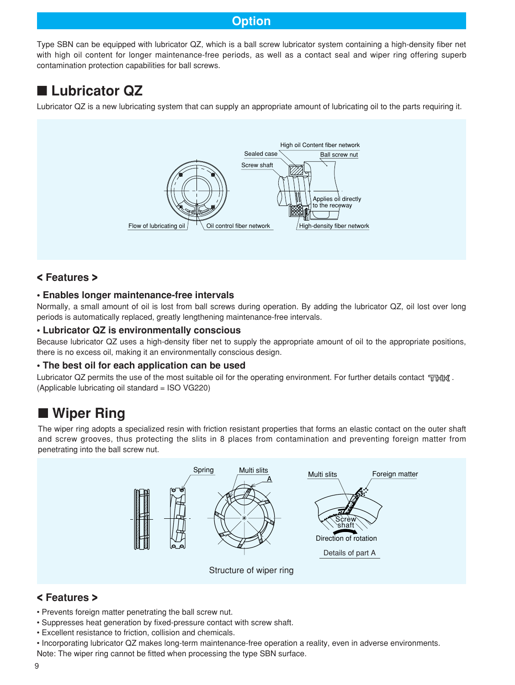### **Option**

Type SBN can be equipped with lubricator QZ, which is a ball screw lubricator system containing a high-density fiber net with high oil content for longer maintenance-free periods, as well as a contact seal and wiper ring offering superb contamination protection capabilities for ball screws.

# ■ Lubricator QZ

Lubricator QZ is a new lubricating system that can supply an appropriate amount of lubricating oil to the parts requiring it.



### **< Features >**

### **• Enables longer maintenance-free intervals**

Normally, a small amount of oil is lost from ball screws during operation. By adding the lubricator QZ, oil lost over long periods is automatically replaced, greatly lengthening maintenance-free intervals.

### **• Lubricator QZ is environmentally conscious**

Because lubricator QZ uses a high-density fiber net to supply the appropriate amount of oil to the appropriate positions, there is no excess oil, making it an environmentally conscious design.

### **• The best oil for each application can be used**

Lubricator QZ permits the use of the most suitable oil for the operating environment. For further details contact  $T\Box H X$ . (Applicable lubricating oil standard = ISO VG220)

# ■ Wiper Ring

The wiper ring adopts a specialized resin with friction resistant properties that forms an elastic contact on the outer shaft and screw grooves, thus protecting the slits in 8 places from contamination and preventing foreign matter from penetrating into the ball screw nut.



### **< Features >**

- Prevents foreign matter penetrating the ball screw nut.
- Suppresses heat generation by fixed-pressure contact with screw shaft.
- Excellent resistance to friction, collision and chemicals.
- Incorporating lubricator QZ makes long-term maintenance-free operation a reality, even in adverse environments.
- Note: The wiper ring cannot be fitted when processing the type SBN surface.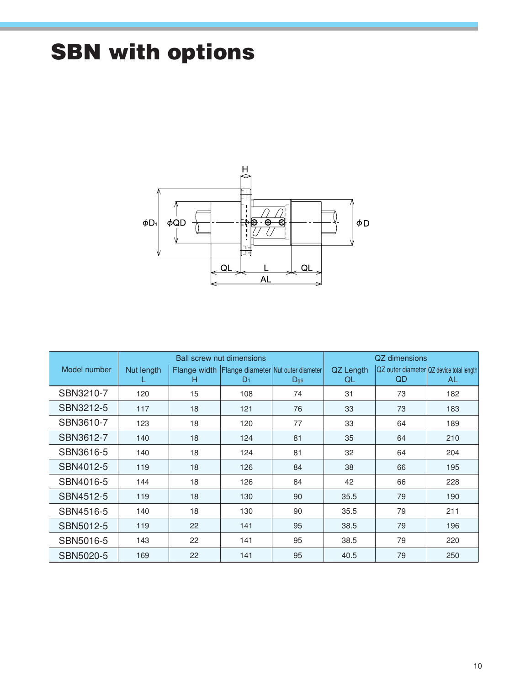# **SBN with options**



|              | <b>Ball screw nut dimensions</b> |    |                |                                                             | QZ dimensions   |     |                                                 |
|--------------|----------------------------------|----|----------------|-------------------------------------------------------------|-----------------|-----|-------------------------------------------------|
| Model number | Nut length<br>L                  | н  | D <sub>1</sub> | Flange width Flange diameter Nut outer diameter<br>$D_{g6}$ | QZ Length<br>QL | QD. | QZ outer diameter QZ device total length<br>AL. |
| SBN3210-7    | 120                              | 15 | 108            | 74                                                          | 31              | 73  | 182                                             |
| SBN3212-5    | 117                              | 18 | 121            | 76                                                          | 33              | 73  | 183                                             |
| SBN3610-7    | 123                              | 18 | 120            | 77                                                          | 33              | 64  | 189                                             |
| SBN3612-7    | 140                              | 18 | 124            | 81                                                          | 35              | 64  | 210                                             |
| SBN3616-5    | 140                              | 18 | 124            | 81                                                          | 32              | 64  | 204                                             |
| SBN4012-5    | 119                              | 18 | 126            | 84                                                          | 38              | 66  | 195                                             |
| SBN4016-5    | 144                              | 18 | 126            | 84                                                          | 42              | 66  | 228                                             |
| SBN4512-5    | 119                              | 18 | 130            | 90                                                          | 35.5            | 79  | 190                                             |
| SBN4516-5    | 140                              | 18 | 130            | 90                                                          | 35.5            | 79  | 211                                             |
| SBN5012-5    | 119                              | 22 | 141            | 95                                                          | 38.5            | 79  | 196                                             |
| SBN5016-5    | 143                              | 22 | 141            | 95                                                          | 38.5            | 79  | 220                                             |
| SBN5020-5    | 169                              | 22 | 141            | 95                                                          | 40.5            | 79  | 250                                             |